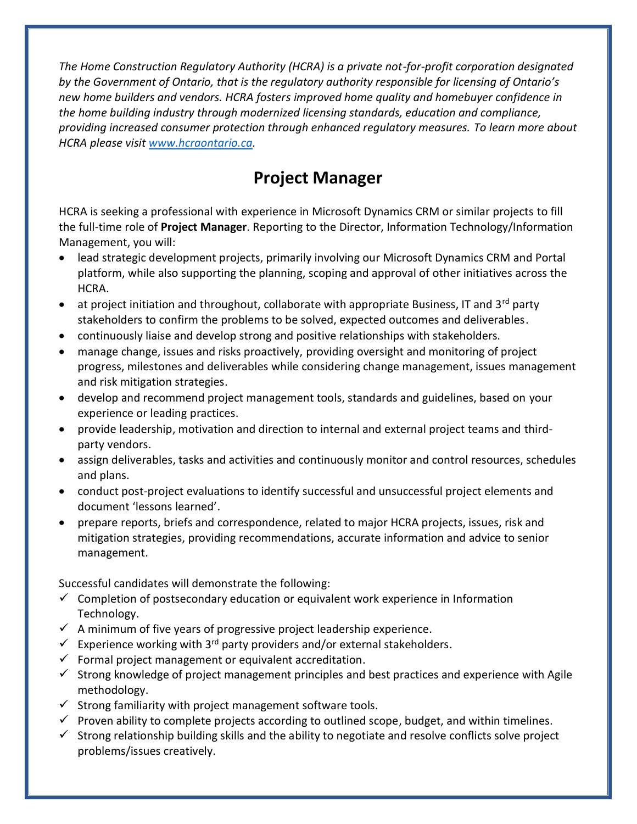*The Home Construction Regulatory Authority (HCRA) is a private not-for-profit corporation designated by the Government of Ontario, that is the regulatory authority responsible for licensing of Ontario's new home builders and vendors. HCRA fosters improved home quality and homebuyer confidence in the home building industry through modernized licensing standards, education and compliance, providing increased consumer protection through enhanced regulatory measures. To learn more about HCRA please visit [www.hcraontario.ca.](http://www.hcraontario.ca/)*

## **Project Manager**

HCRA is seeking a professional with experience in Microsoft Dynamics CRM or similar projects to fill the full-time role of **Project Manager**. Reporting to the Director, Information Technology/Information Management, you will:

- lead strategic development projects, primarily involving our Microsoft Dynamics CRM and Portal platform, while also supporting the planning, scoping and approval of other initiatives across the HCRA.
- at project initiation and throughout, collaborate with appropriate Business, IT and  $3^{rd}$  party stakeholders to confirm the problems to be solved, expected outcomes and deliverables.
- continuously liaise and develop strong and positive relationships with stakeholders.
- manage change, issues and risks proactively, providing oversight and monitoring of project progress, milestones and deliverables while considering change management, issues management and risk mitigation strategies.
- develop and recommend project management tools, standards and guidelines, based on your experience or leading practices.
- provide leadership, motivation and direction to internal and external project teams and thirdparty vendors.
- assign deliverables, tasks and activities and continuously monitor and control resources, schedules and plans.
- conduct post-project evaluations to identify successful and unsuccessful project elements and document 'lessons learned'.
- prepare reports, briefs and correspondence, related to major HCRA projects, issues, risk and mitigation strategies, providing recommendations, accurate information and advice to senior management.

Successful candidates will demonstrate the following:

- $\checkmark$  Completion of postsecondary education or equivalent work experience in Information Technology.
- $\checkmark$  A minimum of five years of progressive project leadership experience.
- $✓$  Experience working with 3<sup>rd</sup> party providers and/or external stakeholders.
- $\checkmark$  Formal project management or equivalent accreditation.
- $\checkmark$  Strong knowledge of project management principles and best practices and experience with Agile methodology.
- $\checkmark$  Strong familiarity with project management software tools.
- $\checkmark$  Proven ability to complete projects according to outlined scope, budget, and within timelines.
- $\checkmark$  Strong relationship building skills and the ability to negotiate and resolve conflicts solve project problems/issues creatively.